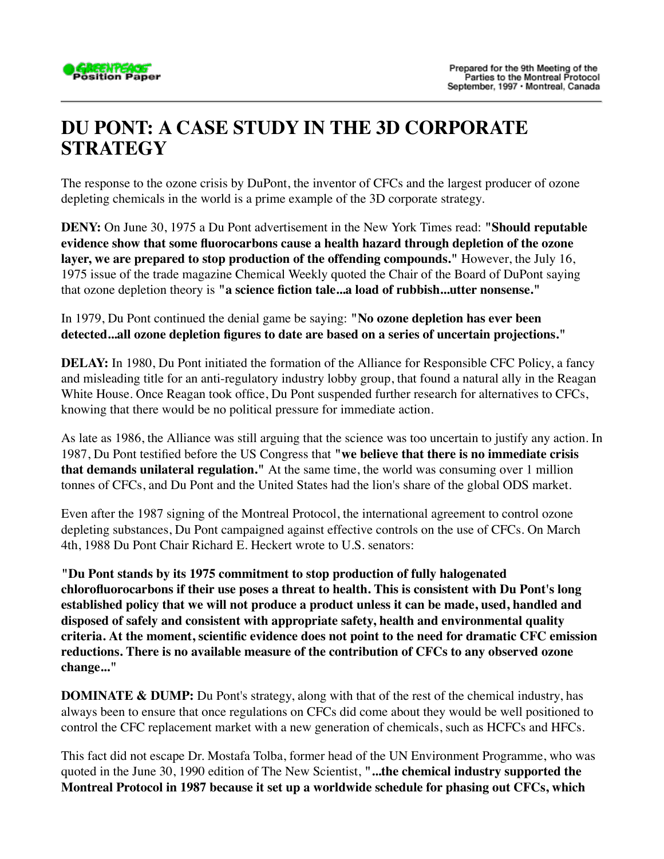

## **DU PONT: A CASE STUDY IN THE 3D CORPORATE STRATEGY**

The response to the ozone crisis by DuPont, the inventor of CFCs and the largest producer of ozone depleting chemicals in the world is a prime example of the 3D corporate strategy.

**DENY:** On June 30, 1975 a Du Pont advertisement in the New York Times read: **"Should reputable evidence show that some fluorocarbons cause a health hazard through depletion of the ozone layer, we are prepared to stop production of the offending compounds."** However, the July 16, 1975 issue of the trade magazine Chemical Weekly quoted the Chair of the Board of DuPont saying that ozone depletion theory is **"a science fiction tale...a load of rubbish...utter nonsense."**

In 1979, Du Pont continued the denial game be saying: **"No ozone depletion has ever been detected...all ozone depletion figures to date are based on a series of uncertain projections."**

**DELAY:** In 1980, Du Pont initiated the formation of the Alliance for Responsible CFC Policy, a fancy and misleading title for an anti-regulatory industry lobby group, that found a natural ally in the Reagan White House. Once Reagan took office, Du Pont suspended further research for alternatives to CFCs, knowing that there would be no political pressure for immediate action.

As late as 1986, the Alliance was still arguing that the science was too uncertain to justify any action. In 1987, Du Pont testified before the US Congress that **"we believe that there is no immediate crisis that demands unilateral regulation."** At the same time, the world was consuming over 1 million tonnes of CFCs, and Du Pont and the United States had the lion's share of the global ODS market.

Even after the 1987 signing of the Montreal Protocol, the international agreement to control ozone depleting substances, Du Pont campaigned against effective controls on the use of CFCs. On March 4th, 1988 Du Pont Chair Richard E. Heckert wrote to U.S. senators:

**"Du Pont stands by its 1975 commitment to stop production of fully halogenated chlorofluorocarbons if their use poses a threat to health. This is consistent with Du Pont's long established policy that we will not produce a product unless it can be made, used, handled and disposed of safely and consistent with appropriate safety, health and environmental quality criteria. At the moment, scientific evidence does not point to the need for dramatic CFC emission reductions. There is no available measure of the contribution of CFCs to any observed ozone change..."**

**DOMINATE & DUMP:** Du Pont's strategy, along with that of the rest of the chemical industry, has always been to ensure that once regulations on CFCs did come about they would be well positioned to control the CFC replacement market with a new generation of chemicals, such as HCFCs and HFCs.

This fact did not escape Dr. Mostafa Tolba, former head of the UN Environment Programme, who was quoted in the June 30, 1990 edition of The New Scientist, **"...the chemical industry supported the Montreal Protocol in 1987 because it set up a worldwide schedule for phasing out CFCs, which**